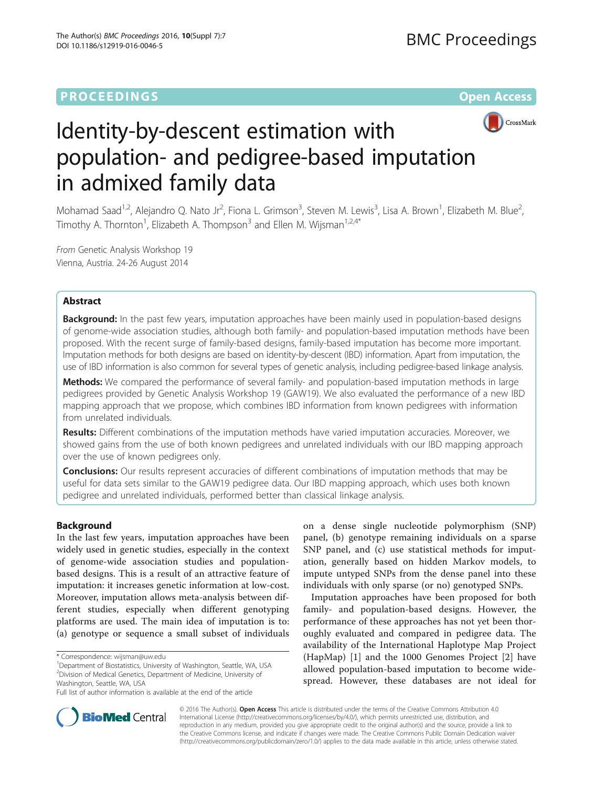## **PROCEEDINGS STATE ACCESS CONSUMING S** Open Access



# Identity-by-descent estimation with population- and pedigree-based imputation in admixed family data

Mohamad Saad<sup>1,2</sup>, Alejandro Q. Nato Jr<sup>2</sup>, Fiona L. Grimson<sup>3</sup>, Steven M. Lewis<sup>3</sup>, Lisa A. Brown<sup>1</sup>, Elizabeth M. Blue<sup>2</sup> , Timothy A. Thornton<sup>1</sup>, Elizabeth A. Thompson<sup>3</sup> and Ellen M. Wijsman<sup>1,2,4\*</sup>

From Genetic Analysis Workshop 19 Vienna, Austria. 24-26 August 2014

## Abstract

**Background:** In the past few years, imputation approaches have been mainly used in population-based designs of genome-wide association studies, although both family- and population-based imputation methods have been proposed. With the recent surge of family-based designs, family-based imputation has become more important. Imputation methods for both designs are based on identity-by-descent (IBD) information. Apart from imputation, the use of IBD information is also common for several types of genetic analysis, including pedigree-based linkage analysis.

Methods: We compared the performance of several family- and population-based imputation methods in large pedigrees provided by Genetic Analysis Workshop 19 (GAW19). We also evaluated the performance of a new IBD mapping approach that we propose, which combines IBD information from known pedigrees with information from unrelated individuals.

Results: Different combinations of the imputation methods have varied imputation accuracies. Moreover, we showed gains from the use of both known pedigrees and unrelated individuals with our IBD mapping approach over the use of known pedigrees only.

**Conclusions:** Our results represent accuracies of different combinations of imputation methods that may be useful for data sets similar to the GAW19 pedigree data. Our IBD mapping approach, which uses both known pedigree and unrelated individuals, performed better than classical linkage analysis.

## Background

In the last few years, imputation approaches have been widely used in genetic studies, especially in the context of genome-wide association studies and populationbased designs. This is a result of an attractive feature of imputation: it increases genetic information at low-cost. Moreover, imputation allows meta-analysis between different studies, especially when different genotyping platforms are used. The main idea of imputation is to: (a) genotype or sequence a small subset of individuals

<sup>1</sup>Department of Biostatistics, University of Washington, Seattle, WA, USA 2 Division of Medical Genetics, Department of Medicine, University of Washington, Seattle, WA, USA

on a dense single nucleotide polymorphism (SNP) panel, (b) genotype remaining individuals on a sparse SNP panel, and (c) use statistical methods for imputation, generally based on hidden Markov models, to impute untyped SNPs from the dense panel into these individuals with only sparse (or no) genotyped SNPs.

Imputation approaches have been proposed for both family- and population-based designs. However, the performance of these approaches has not yet been thoroughly evaluated and compared in pedigree data. The availability of the International Haplotype Map Project (HapMap) [[1\]](#page-5-0) and the 1000 Genomes Project [[2\]](#page-5-0) have allowed population-based imputation to become widespread. However, these databases are not ideal for



© 2016 The Author(s). Open Access This article is distributed under the terms of the Creative Commons Attribution 4.0 International License [\(http://creativecommons.org/licenses/by/4.0/](http://creativecommons.org/licenses/by/4.0/)), which permits unrestricted use, distribution, and reproduction in any medium, provided you give appropriate credit to the original author(s) and the source, provide a link to the Creative Commons license, and indicate if changes were made. The Creative Commons Public Domain Dedication waiver [\(http://creativecommons.org/publicdomain/zero/1.0/](http://creativecommons.org/publicdomain/zero/1.0/)) applies to the data made available in this article, unless otherwise stated.

<sup>\*</sup> Correspondence: [wijsman@uw.edu](mailto:wijsman@uw.edu) <sup>1</sup>

Full list of author information is available at the end of the article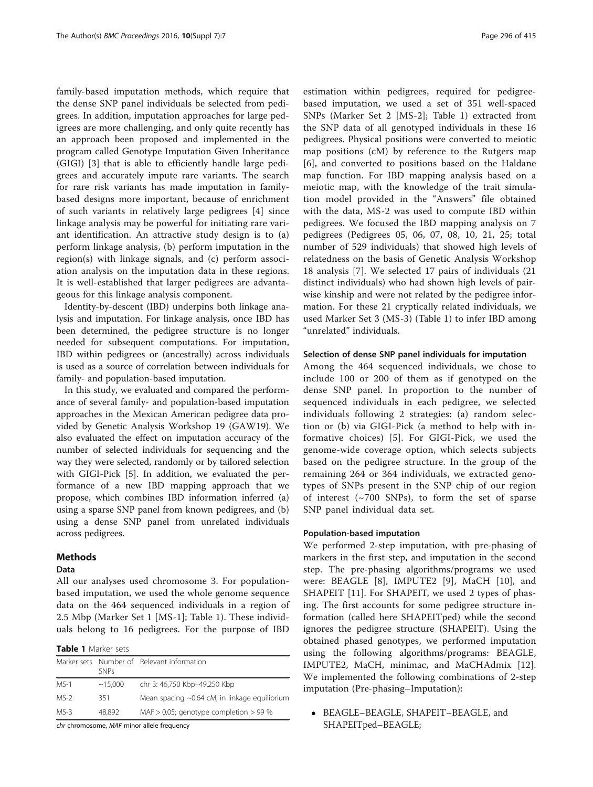family-based imputation methods, which require that the dense SNP panel individuals be selected from pedigrees. In addition, imputation approaches for large pedigrees are more challenging, and only quite recently has an approach been proposed and implemented in the program called Genotype Imputation Given Inheritance (GIGI) [[3\]](#page-5-0) that is able to efficiently handle large pedigrees and accurately impute rare variants. The search for rare risk variants has made imputation in familybased designs more important, because of enrichment of such variants in relatively large pedigrees [[4\]](#page-5-0) since linkage analysis may be powerful for initiating rare variant identification. An attractive study design is to (a) perform linkage analysis, (b) perform imputation in the region(s) with linkage signals, and (c) perform association analysis on the imputation data in these regions. It is well-established that larger pedigrees are advantageous for this linkage analysis component.

Identity-by-descent (IBD) underpins both linkage analysis and imputation. For linkage analysis, once IBD has been determined, the pedigree structure is no longer needed for subsequent computations. For imputation, IBD within pedigrees or (ancestrally) across individuals is used as a source of correlation between individuals for family- and population-based imputation.

In this study, we evaluated and compared the performance of several family- and population-based imputation approaches in the Mexican American pedigree data provided by Genetic Analysis Workshop 19 (GAW19). We also evaluated the effect on imputation accuracy of the number of selected individuals for sequencing and the way they were selected, randomly or by tailored selection with GIGI-Pick [[5\]](#page-5-0). In addition, we evaluated the performance of a new IBD mapping approach that we propose, which combines IBD information inferred (a) using a sparse SNP panel from known pedigrees, and (b) using a dense SNP panel from unrelated individuals across pedigrees.

## Methods

## Data

All our analyses used chromosome 3. For populationbased imputation, we used the whole genome sequence data on the 464 sequenced individuals in a region of 2.5 Mbp (Marker Set 1 [MS-1]; Table 1). These individuals belong to 16 pedigrees. For the purpose of IBD

Table 1 Marker sets

|        | <b>SNPs</b> | Marker sets Number of Relevant information          |
|--------|-------------|-----------------------------------------------------|
| $MS-1$ | ~15,000     | chr 3: 46,750 Kbp-49,250 Kbp                        |
| $MS-2$ | 351         | Mean spacing $\sim 0.64$ cM; in linkage equilibrium |
| $MS-3$ | 48.892      | MAF > 0.05; genotype completion > 99 %              |

chr chromosome, MAF minor allele frequency

estimation within pedigrees, required for pedigreebased imputation, we used a set of 351 well-spaced SNPs (Marker Set 2 [MS-2]; Table 1) extracted from the SNP data of all genotyped individuals in these 16 pedigrees. Physical positions were converted to meiotic map positions (cM) by reference to the Rutgers map [[6](#page-5-0)], and converted to positions based on the Haldane map function. For IBD mapping analysis based on a meiotic map, with the knowledge of the trait simulation model provided in the "Answers" file obtained with the data, MS-2 was used to compute IBD within pedigrees. We focused the IBD mapping analysis on 7 pedigrees (Pedigrees 05, 06, 07, 08, 10, 21, 25; total number of 529 individuals) that showed high levels of relatedness on the basis of Genetic Analysis Workshop 18 analysis [[7\]](#page-5-0). We selected 17 pairs of individuals (21 distinct individuals) who had shown high levels of pairwise kinship and were not related by the pedigree information. For these 21 cryptically related individuals, we used Marker Set 3 (MS-3) (Table 1) to infer IBD among "unrelated" individuals.

## Selection of dense SNP panel individuals for imputation

Among the 464 sequenced individuals, we chose to include 100 or 200 of them as if genotyped on the dense SNP panel. In proportion to the number of sequenced individuals in each pedigree, we selected individuals following 2 strategies: (a) random selection or (b) via GIGI-Pick (a method to help with informative choices) [[5\]](#page-5-0). For GIGI-Pick, we used the genome-wide coverage option, which selects subjects based on the pedigree structure. In the group of the remaining 264 or 364 individuals, we extracted genotypes of SNPs present in the SNP chip of our region of interest  $(\sim 700 \text{ SNPs})$ , to form the set of sparse SNP panel individual data set.

#### Population-based imputation

We performed 2-step imputation, with pre-phasing of markers in the first step, and imputation in the second step. The pre-phasing algorithms/programs we used were: BEAGLE [\[8](#page-5-0)], IMPUTE2 [[9\]](#page-6-0), MaCH [[10\]](#page-6-0), and SHAPEIT [\[11](#page-6-0)]. For SHAPEIT, we used 2 types of phasing. The first accounts for some pedigree structure information (called here SHAPEITped) while the second ignores the pedigree structure (SHAPEIT). Using the obtained phased genotypes, we performed imputation using the following algorithms/programs: BEAGLE, IMPUTE2, MaCH, minimac, and MaCHAdmix [\[12](#page-6-0)]. We implemented the following combinations of 2-step imputation (Pre-phasing–Imputation):

 BEAGLE–BEAGLE, SHAPEIT–BEAGLE, and SHAPEITped–BEAGLE;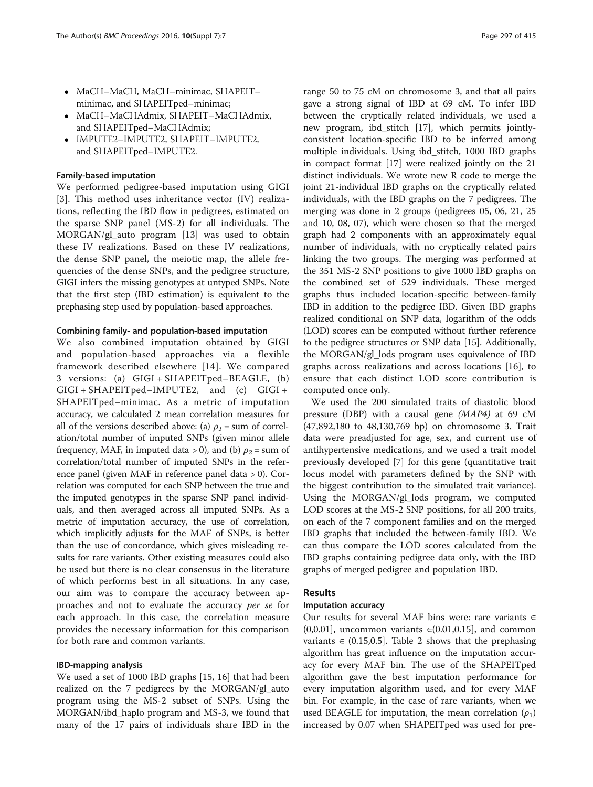- MaCH–MaCH, MaCH–minimac, SHAPEIT– minimac, and SHAPEITped–minimac;
- MaCH–MaCHAdmix, SHAPEIT–MaCHAdmix, and SHAPEITped–MaCHAdmix;
- IMPUTE2–IMPUTE2, SHAPEIT–IMPUTE2, and SHAPEITped–IMPUTE2.

#### Family-based imputation

We performed pedigree-based imputation using GIGI [[3\]](#page-5-0). This method uses inheritance vector (IV) realizations, reflecting the IBD flow in pedigrees, estimated on the sparse SNP panel (MS-2) for all individuals. The MORGAN/gl\_auto program [[13](#page-6-0)] was used to obtain these IV realizations. Based on these IV realizations, the dense SNP panel, the meiotic map, the allele frequencies of the dense SNPs, and the pedigree structure, GIGI infers the missing genotypes at untyped SNPs. Note that the first step (IBD estimation) is equivalent to the prephasing step used by population-based approaches.

## Combining family- and population-based imputation

We also combined imputation obtained by GIGI and population-based approaches via a flexible framework described elsewhere [[14\]](#page-6-0). We compared 3 versions: (a) GIGI + SHAPEITped–BEAGLE, (b) GIGI + SHAPEITped–IMPUTE2, and (c) GIGI + SHAPEITped–minimac. As a metric of imputation accuracy, we calculated 2 mean correlation measures for all of the versions described above: (a)  $\rho_1$  = sum of correlation/total number of imputed SNPs (given minor allele frequency, MAF, in imputed data  $>$  0), and (b)  $\rho_2$  = sum of correlation/total number of imputed SNPs in the reference panel (given MAF in reference panel data > 0). Correlation was computed for each SNP between the true and the imputed genotypes in the sparse SNP panel individuals, and then averaged across all imputed SNPs. As a metric of imputation accuracy, the use of correlation, which implicitly adjusts for the MAF of SNPs, is better than the use of concordance, which gives misleading results for rare variants. Other existing measures could also be used but there is no clear consensus in the literature of which performs best in all situations. In any case, our aim was to compare the accuracy between approaches and not to evaluate the accuracy per se for each approach. In this case, the correlation measure provides the necessary information for this comparison for both rare and common variants.

## IBD-mapping analysis

We used a set of 1000 IBD graphs [\[15](#page-6-0), [16](#page-6-0)] that had been realized on the 7 pedigrees by the MORGAN/gl\_auto program using the MS-2 subset of SNPs. Using the MORGAN/ibd\_haplo program and MS-3, we found that many of the 17 pairs of individuals share IBD in the

range 50 to 75 cM on chromosome 3, and that all pairs gave a strong signal of IBD at 69 cM. To infer IBD between the cryptically related individuals, we used a new program, ibd\_stitch [\[17\]](#page-6-0), which permits jointlyconsistent location-specific IBD to be inferred among multiple individuals. Using ibd\_stitch, 1000 IBD graphs in compact format [[17\]](#page-6-0) were realized jointly on the 21 distinct individuals. We wrote new R code to merge the joint 21-individual IBD graphs on the cryptically related individuals, with the IBD graphs on the 7 pedigrees. The merging was done in 2 groups (pedigrees 05, 06, 21, 25 and 10, 08, 07), which were chosen so that the merged graph had 2 components with an approximately equal number of individuals, with no cryptically related pairs linking the two groups. The merging was performed at the 351 MS-2 SNP positions to give 1000 IBD graphs on the combined set of 529 individuals. These merged graphs thus included location-specific between-family IBD in addition to the pedigree IBD. Given IBD graphs realized conditional on SNP data, logarithm of the odds (LOD) scores can be computed without further reference to the pedigree structures or SNP data [\[15\]](#page-6-0). Additionally, the MORGAN/gl\_lods program uses equivalence of IBD graphs across realizations and across locations [[16\]](#page-6-0), to ensure that each distinct LOD score contribution is computed once only.

We used the 200 simulated traits of diastolic blood pressure (DBP) with a causal gene (MAP4) at 69 cM (47,892,180 to 48,130,769 bp) on chromosome 3. Trait data were preadjusted for age, sex, and current use of antihypertensive medications, and we used a trait model previously developed [\[7\]](#page-5-0) for this gene (quantitative trait locus model with parameters defined by the SNP with the biggest contribution to the simulated trait variance). Using the MORGAN/gl\_lods program, we computed LOD scores at the MS-2 SNP positions, for all 200 traits, on each of the 7 component families and on the merged IBD graphs that included the between-family IBD. We can thus compare the LOD scores calculated from the IBD graphs containing pedigree data only, with the IBD graphs of merged pedigree and population IBD.

## Results

#### Imputation accuracy

Our results for several MAF bins were: rare variants ∈  $(0,0.01]$ , uncommon variants  $\in (0.01,0.15]$ , and common variants  $\in$  (0.15,0.5]. Table [2](#page-3-0) shows that the prephasing algorithm has great influence on the imputation accuracy for every MAF bin. The use of the SHAPEITped algorithm gave the best imputation performance for every imputation algorithm used, and for every MAF bin. For example, in the case of rare variants, when we used BEAGLE for imputation, the mean correlation  $(\rho_1)$ increased by 0.07 when SHAPEITped was used for pre-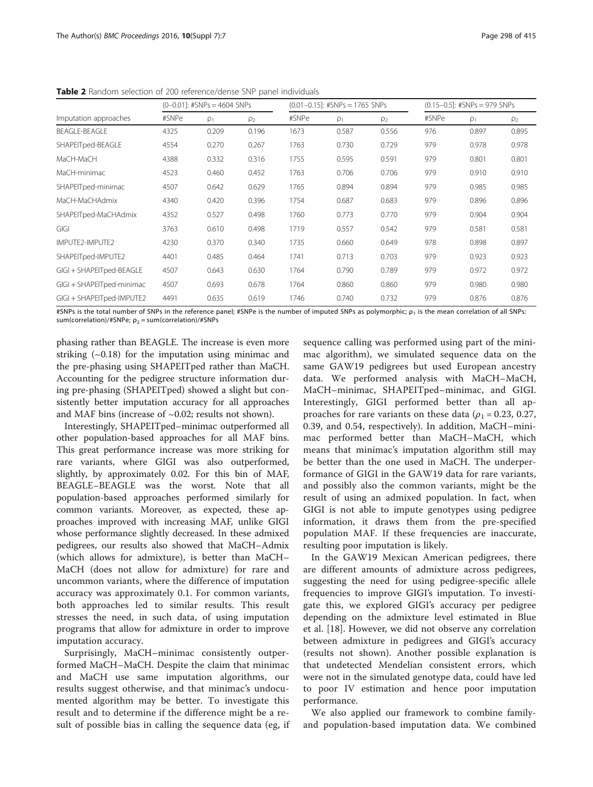|                           | $(0-0.01)$ : #SNPs = 4604 SNPs |          |          | $(0.01 - 0.15)$ : #SNPs = 1765 SNPs |          |          | $(0.15-0.5)$ : #SNPs = 979 SNPs |          |          |
|---------------------------|--------------------------------|----------|----------|-------------------------------------|----------|----------|---------------------------------|----------|----------|
| Imputation approaches     | #SNPe                          | $\rho_1$ | $\rho_2$ | #SNPe                               | $\rho_1$ | $\rho_2$ | #SNPe                           | $\rho_1$ | $\rho_2$ |
| <b>BEAGLE-BEAGLE</b>      | 4325                           | 0.209    | 0.196    | 1673                                | 0.587    | 0.556    | 976                             | 0.897    | 0.895    |
| SHAPEITped-BEAGLE         | 4554                           | 0.270    | 0.267    | 1763                                | 0.730    | 0.729    | 979                             | 0.978    | 0.978    |
| MaCH-MaCH                 | 4388                           | 0.332    | 0.316    | 1755                                | 0.595    | 0.591    | 979                             | 0.801    | 0.801    |
| MaCH-minimac              | 4523                           | 0.460    | 0.452    | 1763                                | 0.706    | 0.706    | 979                             | 0.910    | 0.910    |
| SHAPEITped-minimac        | 4507                           | 0.642    | 0.629    | 1765                                | 0.894    | 0.894    | 979                             | 0.985    | 0.985    |
| MaCH-MaCHAdmix            | 4340                           | 0.420    | 0.396    | 1754                                | 0.687    | 0.683    | 979                             | 0.896    | 0.896    |
| SHAPEITped-MaCHAdmix      | 4352                           | 0.527    | 0.498    | 1760                                | 0.773    | 0.770    | 979                             | 0.904    | 0.904    |
| GIGI                      | 3763                           | 0.610    | 0.498    | 1719                                | 0.557    | 0.542    | 979                             | 0.581    | 0.581    |
| IMPUTE2-IMPUTE2           | 4230                           | 0.370    | 0.340    | 1735                                | 0.660    | 0.649    | 978                             | 0.898    | 0.897    |
| SHAPEITped-IMPUTE2        | 4401                           | 0.485    | 0.464    | 1741                                | 0.713    | 0.703    | 979                             | 0.923    | 0.923    |
| GIGI + SHAPEITped-BEAGLE  | 4507                           | 0.643    | 0.630    | 1764                                | 0.790    | 0.789    | 979                             | 0.972    | 0.972    |
| GIGI + SHAPEITped-minimac | 4507                           | 0.693    | 0.678    | 1764                                | 0.860    | 0.860    | 979                             | 0.980    | 0.980    |
| GIGI + SHAPEITped-IMPUTE2 | 4491                           | 0.635    | 0.619    | 1746                                | 0.740    | 0.732    | 979                             | 0.876    | 0.876    |

<span id="page-3-0"></span>Table 2 Random selection of 200 reference/dense SNP panel individuals

#SNPs is the total number of SNPs in the reference panel; #SNPe is the number of imputed SNPs as polymorphic;  $ρ₁$  is the mean correlation of all SNPs: sum(correlation)/#SNPe;  $\rho_2$  = sum(correlation)/#SNPs

phasing rather than BEAGLE. The increase is even more striking  $(-0.18)$  for the imputation using minimac and the pre-phasing using SHAPEITped rather than MaCH. Accounting for the pedigree structure information during pre-phasing (SHAPEITped) showed a slight but consistently better imputation accuracy for all approaches and MAF bins (increase of  $\sim 0.02$ ; results not shown).

Interestingly, SHAPEITped–minimac outperformed all other population-based approaches for all MAF bins. This great performance increase was more striking for rare variants, where GIGI was also outperformed, slightly, by approximately 0.02. For this bin of MAF, BEAGLE–BEAGLE was the worst. Note that all population-based approaches performed similarly for common variants. Moreover, as expected, these approaches improved with increasing MAF, unlike GIGI whose performance slightly decreased. In these admixed pedigrees, our results also showed that MaCH–Admix (which allows for admixture), is better than MaCH– MaCH (does not allow for admixture) for rare and uncommon variants, where the difference of imputation accuracy was approximately 0.1. For common variants, both approaches led to similar results. This result stresses the need, in such data, of using imputation programs that allow for admixture in order to improve imputation accuracy.

Surprisingly, MaCH–minimac consistently outperformed MaCH–MaCH. Despite the claim that minimac and MaCH use same imputation algorithms, our results suggest otherwise, and that minimac's undocumented algorithm may be better. To investigate this result and to determine if the difference might be a result of possible bias in calling the sequence data (eg, if

sequence calling was performed using part of the minimac algorithm), we simulated sequence data on the same GAW19 pedigrees but used European ancestry data. We performed analysis with MaCH–MaCH, MaCH–minimac, SHAPEITped–minimac, and GIGI. Interestingly, GIGI performed better than all approaches for rare variants on these data ( $\rho_1 = 0.23, 0.27$ , 0.39, and 0.54, respectively). In addition, MaCH–minimac performed better than MaCH–MaCH, which means that minimac's imputation algorithm still may be better than the one used in MaCH. The underperformance of GIGI in the GAW19 data for rare variants, and possibly also the common variants, might be the result of using an admixed population. In fact, when GIGI is not able to impute genotypes using pedigree information, it draws them from the pre-specified population MAF. If these frequencies are inaccurate, resulting poor imputation is likely.

In the GAW19 Mexican American pedigrees, there are different amounts of admixture across pedigrees, suggesting the need for using pedigree-specific allele frequencies to improve GIGI's imputation. To investigate this, we explored GIGI's accuracy per pedigree depending on the admixture level estimated in Blue et al. [\[18\]](#page-6-0). However, we did not observe any correlation between admixture in pedigrees and GIGI's accuracy (results not shown). Another possible explanation is that undetected Mendelian consistent errors, which were not in the simulated genotype data, could have led to poor IV estimation and hence poor imputation performance.

We also applied our framework to combine familyand population-based imputation data. We combined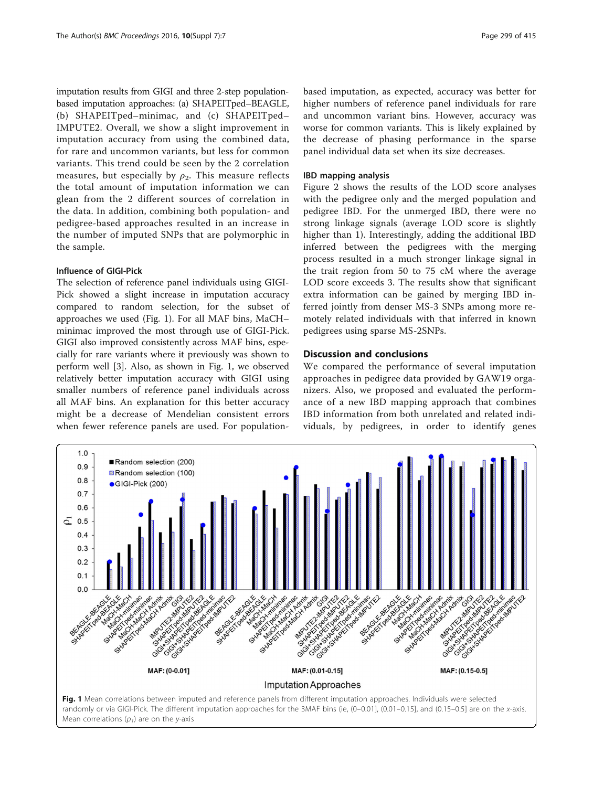imputation results from GIGI and three 2-step populationbased imputation approaches: (a) SHAPEITped–BEAGLE, (b) SHAPEITped–minimac, and (c) SHAPEITped– IMPUTE2. Overall, we show a slight improvement in imputation accuracy from using the combined data, for rare and uncommon variants, but less for common variants. This trend could be seen by the 2 correlation measures, but especially by  $\rho_2$ . This measure reflects the total amount of imputation information we can glean from the 2 different sources of correlation in the data. In addition, combining both population- and pedigree-based approaches resulted in an increase in the number of imputed SNPs that are polymorphic in the sample.

## Influence of GIGI-Pick

The selection of reference panel individuals using GIGI-Pick showed a slight increase in imputation accuracy compared to random selection, for the subset of approaches we used (Fig. 1). For all MAF bins, MaCH– minimac improved the most through use of GIGI-Pick. GIGI also improved consistently across MAF bins, especially for rare variants where it previously was shown to perform well [\[3\]](#page-5-0). Also, as shown in Fig. 1, we observed relatively better imputation accuracy with GIGI using smaller numbers of reference panel individuals across all MAF bins. An explanation for this better accuracy might be a decrease of Mendelian consistent errors when fewer reference panels are used. For population-

based imputation, as expected, accuracy was better for higher numbers of reference panel individuals for rare and uncommon variant bins. However, accuracy was worse for common variants. This is likely explained by the decrease of phasing performance in the sparse panel individual data set when its size decreases.

## IBD mapping analysis

Figure [2](#page-5-0) shows the results of the LOD score analyses with the pedigree only and the merged population and pedigree IBD. For the unmerged IBD, there were no strong linkage signals (average LOD score is slightly higher than 1). Interestingly, adding the additional IBD inferred between the pedigrees with the merging process resulted in a much stronger linkage signal in the trait region from 50 to 75 cM where the average LOD score exceeds 3. The results show that significant extra information can be gained by merging IBD inferred jointly from denser MS-3 SNPs among more remotely related individuals with that inferred in known pedigrees using sparse MS-2SNPs.

## Discussion and conclusions

We compared the performance of several imputation approaches in pedigree data provided by GAW19 organizers. Also, we proposed and evaluated the performance of a new IBD mapping approach that combines IBD information from both unrelated and related individuals, by pedigrees, in order to identify genes

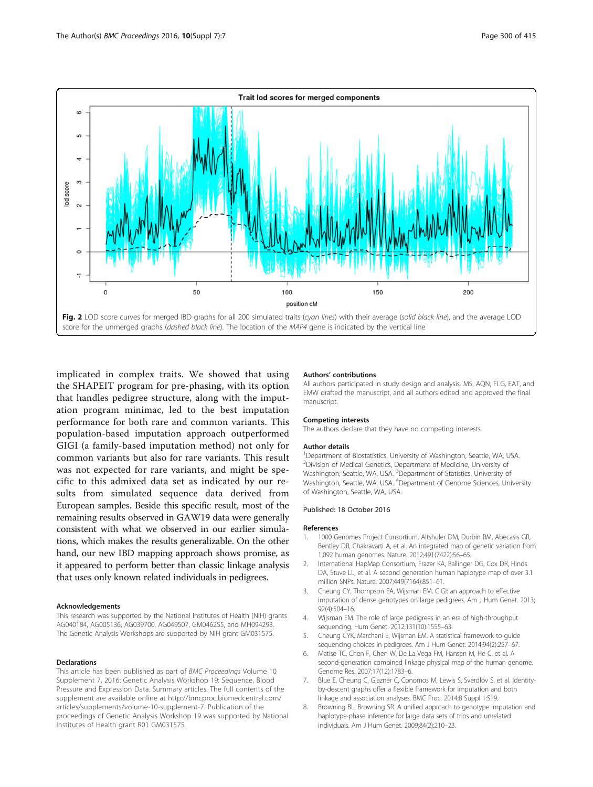<span id="page-5-0"></span>

implicated in complex traits. We showed that using the SHAPEIT program for pre-phasing, with its option that handles pedigree structure, along with the imputation program minimac, led to the best imputation performance for both rare and common variants. This population-based imputation approach outperformed GIGI (a family-based imputation method) not only for common variants but also for rare variants. This result was not expected for rare variants, and might be specific to this admixed data set as indicated by our results from simulated sequence data derived from European samples. Beside this specific result, most of the remaining results observed in GAW19 data were generally consistent with what we observed in our earlier simulations, which makes the results generalizable. On the other hand, our new IBD mapping approach shows promise, as it appeared to perform better than classic linkage analysis that uses only known related individuals in pedigrees.

#### Acknowledgements

This research was supported by the National Institutes of Health (NIH) grants AG040184, AG005136, AG039700, AG049507, GM046255, and MH094293. The Genetic Analysis Workshops are supported by NIH grant GM031575.

#### **Declarations**

This article has been published as part of BMC Proceedings Volume 10 Supplement 7, 2016: Genetic Analysis Workshop 19: Sequence, Blood Pressure and Expression Data. Summary articles. The full contents of the supplement are available online at [http://bmcproc.biomedcentral.com/](http://bmcproc.biomedcentral.com/articles/supplements/volume-10-supplement-7) [articles/supplements/volume-10-supplement-7.](http://bmcproc.biomedcentral.com/articles/supplements/volume-10-supplement-7) Publication of the proceedings of Genetic Analysis Workshop 19 was supported by National Institutes of Health grant R01 GM031575.

#### Authors' contributions

All authors participated in study design and analysis. MS, AQN, FLG, EAT, and EMW drafted the manuscript, and all authors edited and approved the final manuscript.

#### Competing interests

The authors declare that they have no competing interests.

#### Author details

<sup>1</sup>Department of Biostatistics, University of Washington, Seattle, WA, USA 2 Division of Medical Genetics, Department of Medicine, University of Washington, Seattle, WA, USA. <sup>3</sup>Department of Statistics, University of Washington, Seattle, WA, USA. <sup>4</sup>Department of Genome Sciences, University of Washington, Seattle, WA, USA.

### Published: 18 October 2016

#### References

- 1. 1000 Genomes Project Consortium, Altshuler DM, Durbin RM, Abecasis GR, Bentley DR, Chakravarti A, et al. An integrated map of genetic variation from 1,092 human genomes. Nature. 2012;491(7422):56–65.
- 2. International HapMap Consortium, Frazer KA, Ballinger DG, Cox DR, Hinds DA, Stuve LL, et al. A second generation human haplotype map of over 3.1 million SNPs. Nature. 2007;449(7164):851–61.
- 3. Cheung CY, Thompson EA, Wijsman EM. GIGI: an approach to effective imputation of dense genotypes on large pedigrees. Am J Hum Genet. 2013; 92(4):504–16.
- 4. Wijsman EM. The role of large pedigrees in an era of high-throughput sequencing. Hum Genet. 2012;131(10):1555–63.
- 5. Cheung CYK, Marchani E, Wijsman EM. A statistical framework to guide sequencing choices in pedigrees. Am J Hum Genet. 2014;94(2):257–67.
- 6. Matise TC, Chen F, Chen W, De La Vega FM, Hansen M, He C, et al. A second-generation combined linkage physical map of the human genome. Genome Res. 2007;17(12):1783–6.
- 7. Blue E, Cheung C, Glazner C, Conomos M, Lewis S, Sverdlov S, et al. Identityby-descent graphs offer a flexible framework for imputation and both linkage and association analyses. BMC Proc. 2014;8 Suppl 1:S19.
- 8. Browning BL, Browning SR. A unified approach to genotype imputation and haplotype-phase inference for large data sets of trios and unrelated individuals. Am J Hum Genet. 2009;84(2):210–23.